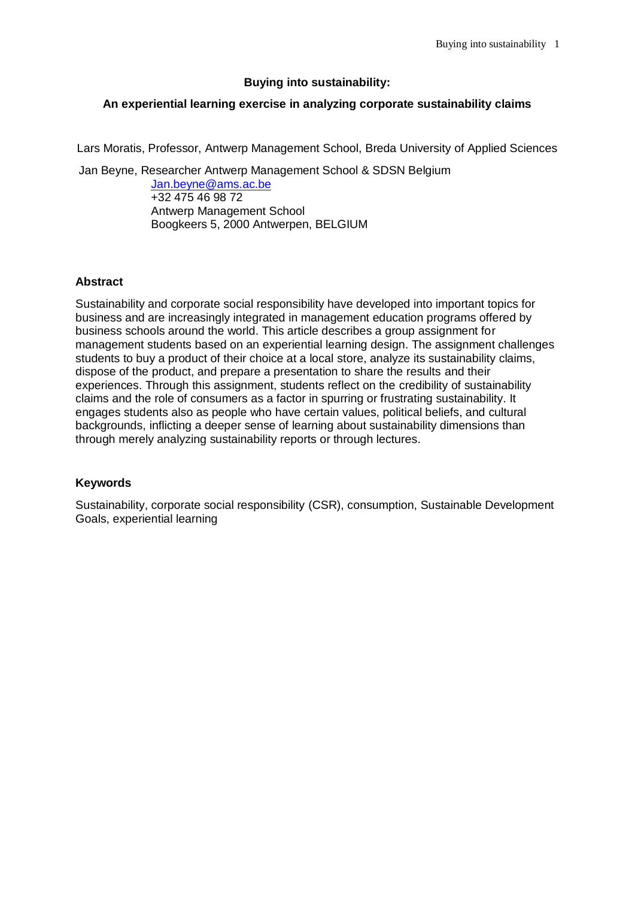### **Buying into sustainability:**

# **An experiential learning exercise in analyzing corporate sustainability claims**

Lars Moratis, Professor, Antwerp Management School, Breda University of Applied Sciences

Jan Beyne, Researcher Antwerp Management School & SDSN Belgium

[Jan.beyne@ams.ac.be](mailto:Jan.beyne@ams.ac.be) +32 475 46 98 72 Antwerp Management School Boogkeers 5, 2000 Antwerpen, BELGIUM

## **Abstract**

Sustainability and corporate social responsibility have developed into important topics for business and are increasingly integrated in management education programs offered by business schools around the world. This article describes a group assignment for management students based on an experiential learning design. The assignment challenges students to buy a product of their choice at a local store, analyze its sustainability claims, dispose of the product, and prepare a presentation to share the results and their experiences. Through this assignment, students reflect on the credibility of sustainability claims and the role of consumers as a factor in spurring or frustrating sustainability. It engages students also as people who have certain values, political beliefs, and cultural backgrounds, inflicting a deeper sense of learning about sustainability dimensions than through merely analyzing sustainability reports or through lectures.

## **Keywords**

Sustainability, corporate social responsibility (CSR), consumption, Sustainable Development Goals, experiential learning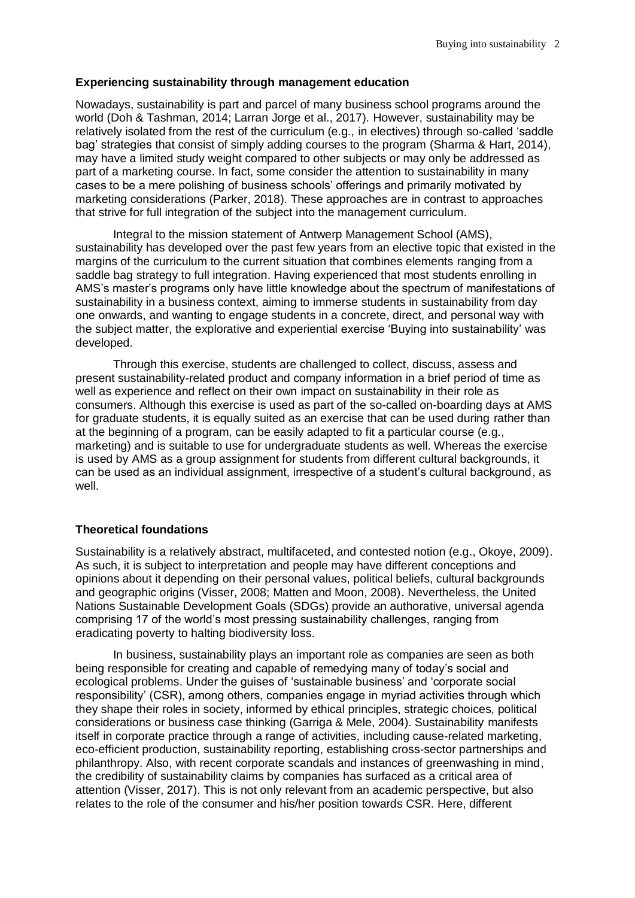#### **Experiencing sustainability through management education**

Nowadays, sustainability is part and parcel of many business school programs around the world (Doh & Tashman, 2014; Larran Jorge et al., 2017). However, sustainability may be relatively isolated from the rest of the curriculum (e.g., in electives) through so-called 'saddle bag' strategies that consist of simply adding courses to the program (Sharma & Hart, 2014), may have a limited study weight compared to other subjects or may only be addressed as part of a marketing course. In fact, some consider the attention to sustainability in many cases to be a mere polishing of business schools' offerings and primarily motivated by marketing considerations (Parker, 2018). These approaches are in contrast to approaches that strive for full integration of the subject into the management curriculum.

Integral to the mission statement of Antwerp Management School (AMS), sustainability has developed over the past few years from an elective topic that existed in the margins of the curriculum to the current situation that combines elements ranging from a saddle bag strategy to full integration. Having experienced that most students enrolling in AMS's master's programs only have little knowledge about the spectrum of manifestations of sustainability in a business context, aiming to immerse students in sustainability from day one onwards, and wanting to engage students in a concrete, direct, and personal way with the subject matter, the explorative and experiential exercise 'Buying into sustainability' was developed.

Through this exercise, students are challenged to collect, discuss, assess and present sustainability-related product and company information in a brief period of time as well as experience and reflect on their own impact on sustainability in their role as consumers. Although this exercise is used as part of the so-called on-boarding days at AMS for graduate students, it is equally suited as an exercise that can be used during rather than at the beginning of a program, can be easily adapted to fit a particular course (e.g., marketing) and is suitable to use for undergraduate students as well. Whereas the exercise is used by AMS as a group assignment for students from different cultural backgrounds, it can be used as an individual assignment, irrespective of a student's cultural background, as well.

### **Theoretical foundations**

Sustainability is a relatively abstract, multifaceted, and contested notion (e.g., Okoye, 2009). As such, it is subject to interpretation and people may have different conceptions and opinions about it depending on their personal values, political beliefs, cultural backgrounds and geographic origins (Visser, 2008; Matten and Moon, 2008). Nevertheless, the United Nations Sustainable Development Goals (SDGs) provide an authorative, universal agenda comprising 17 of the world's most pressing sustainability challenges, ranging from eradicating poverty to halting biodiversity loss.

In business, sustainability plays an important role as companies are seen as both being responsible for creating and capable of remedying many of today's social and ecological problems. Under the guises of 'sustainable business' and 'corporate social responsibility' (CSR), among others, companies engage in myriad activities through which they shape their roles in society, informed by ethical principles, strategic choices, political considerations or business case thinking (Garriga & Mele, 2004). Sustainability manifests itself in corporate practice through a range of activities, including cause-related marketing, eco-efficient production, sustainability reporting, establishing cross-sector partnerships and philanthropy. Also, with recent corporate scandals and instances of greenwashing in mind, the credibility of sustainability claims by companies has surfaced as a critical area of attention (Visser, 2017). This is not only relevant from an academic perspective, but also relates to the role of the consumer and his/her position towards CSR. Here, different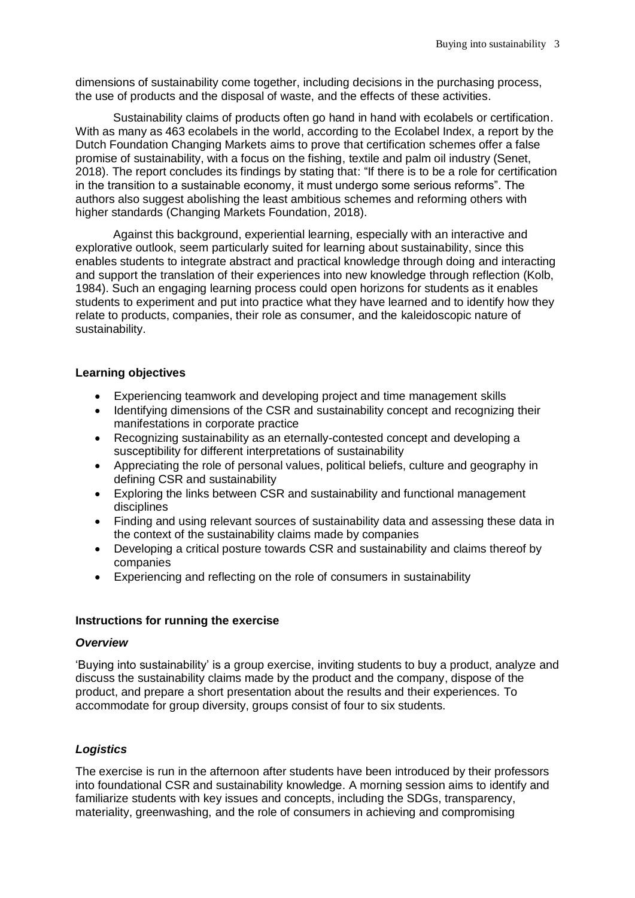dimensions of sustainability come together, including decisions in the purchasing process, the use of products and the disposal of waste, and the effects of these activities.

Sustainability claims of products often go hand in hand with ecolabels or certification. With as many as 463 ecolabels in the world, according to the Ecolabel Index, a report by the Dutch Foundation Changing Markets aims to prove that certification schemes offer a false promise of sustainability, with a focus on the fishing, textile and palm oil industry (Senet, 2018). The report concludes its findings by stating that: "If there is to be a role for certification in the transition to a sustainable economy, it must undergo some serious reforms". The authors also suggest abolishing the least ambitious schemes and reforming others with higher standards (Changing Markets Foundation, 2018).

Against this background, experiential learning, especially with an interactive and explorative outlook, seem particularly suited for learning about sustainability, since this enables students to integrate abstract and practical knowledge through doing and interacting and support the translation of their experiences into new knowledge through reflection (Kolb, 1984). Such an engaging learning process could open horizons for students as it enables students to experiment and put into practice what they have learned and to identify how they relate to products, companies, their role as consumer, and the kaleidoscopic nature of sustainability.

### **Learning objectives**

- Experiencing teamwork and developing project and time management skills
- Identifying dimensions of the CSR and sustainability concept and recognizing their manifestations in corporate practice
- Recognizing sustainability as an eternally-contested concept and developing a susceptibility for different interpretations of sustainability
- Appreciating the role of personal values, political beliefs, culture and geography in defining CSR and sustainability
- Exploring the links between CSR and sustainability and functional management disciplines
- Finding and using relevant sources of sustainability data and assessing these data in the context of the sustainability claims made by companies
- Developing a critical posture towards CSR and sustainability and claims thereof by companies
- Experiencing and reflecting on the role of consumers in sustainability

### **Instructions for running the exercise**

#### *Overview*

'Buying into sustainability' is a group exercise, inviting students to buy a product, analyze and discuss the sustainability claims made by the product and the company, dispose of the product, and prepare a short presentation about the results and their experiences. To accommodate for group diversity, groups consist of four to six students.

### *Logistics*

The exercise is run in the afternoon after students have been introduced by their professors into foundational CSR and sustainability knowledge. A morning session aims to identify and familiarize students with key issues and concepts, including the SDGs, transparency, materiality, greenwashing, and the role of consumers in achieving and compromising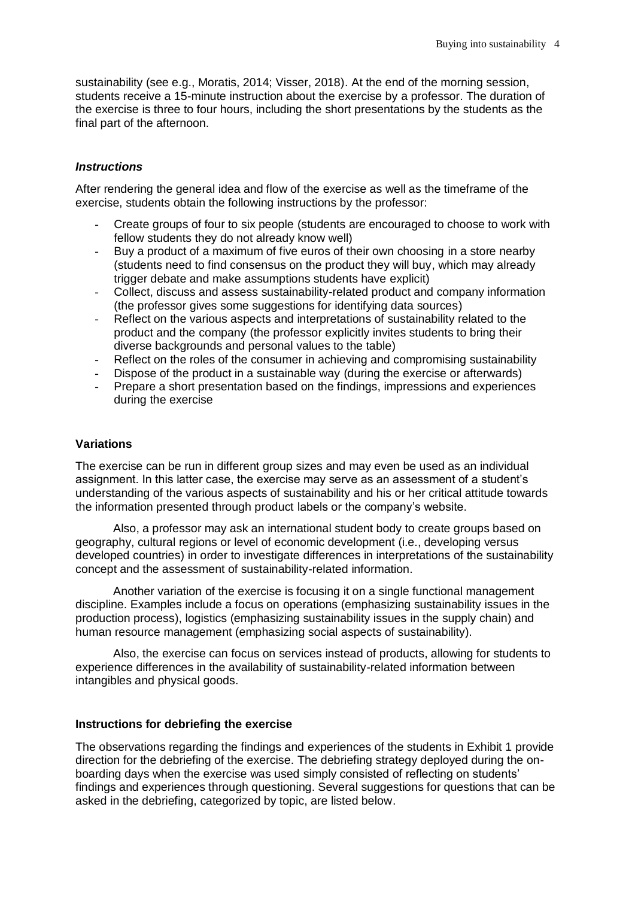sustainability (see e.g., Moratis, 2014; Visser, 2018). At the end of the morning session, students receive a 15-minute instruction about the exercise by a professor. The duration of the exercise is three to four hours, including the short presentations by the students as the final part of the afternoon.

### *Instructions*

After rendering the general idea and flow of the exercise as well as the timeframe of the exercise, students obtain the following instructions by the professor:

- Create groups of four to six people (students are encouraged to choose to work with fellow students they do not already know well)
- Buy a product of a maximum of five euros of their own choosing in a store nearby (students need to find consensus on the product they will buy, which may already trigger debate and make assumptions students have explicit)
- Collect, discuss and assess sustainability-related product and company information (the professor gives some suggestions for identifying data sources)
- Reflect on the various aspects and interpretations of sustainability related to the product and the company (the professor explicitly invites students to bring their diverse backgrounds and personal values to the table)
- Reflect on the roles of the consumer in achieving and compromising sustainability
- Dispose of the product in a sustainable way (during the exercise or afterwards)
- Prepare a short presentation based on the findings, impressions and experiences during the exercise

### **Variations**

The exercise can be run in different group sizes and may even be used as an individual assignment. In this latter case, the exercise may serve as an assessment of a student's understanding of the various aspects of sustainability and his or her critical attitude towards the information presented through product labels or the company's website.

Also, a professor may ask an international student body to create groups based on geography, cultural regions or level of economic development (i.e., developing versus developed countries) in order to investigate differences in interpretations of the sustainability concept and the assessment of sustainability-related information.

Another variation of the exercise is focusing it on a single functional management discipline. Examples include a focus on operations (emphasizing sustainability issues in the production process), logistics (emphasizing sustainability issues in the supply chain) and human resource management (emphasizing social aspects of sustainability).

Also, the exercise can focus on services instead of products, allowing for students to experience differences in the availability of sustainability-related information between intangibles and physical goods.

### **Instructions for debriefing the exercise**

The observations regarding the findings and experiences of the students in Exhibit 1 provide direction for the debriefing of the exercise. The debriefing strategy deployed during the onboarding days when the exercise was used simply consisted of reflecting on students' findings and experiences through questioning. Several suggestions for questions that can be asked in the debriefing, categorized by topic, are listed below.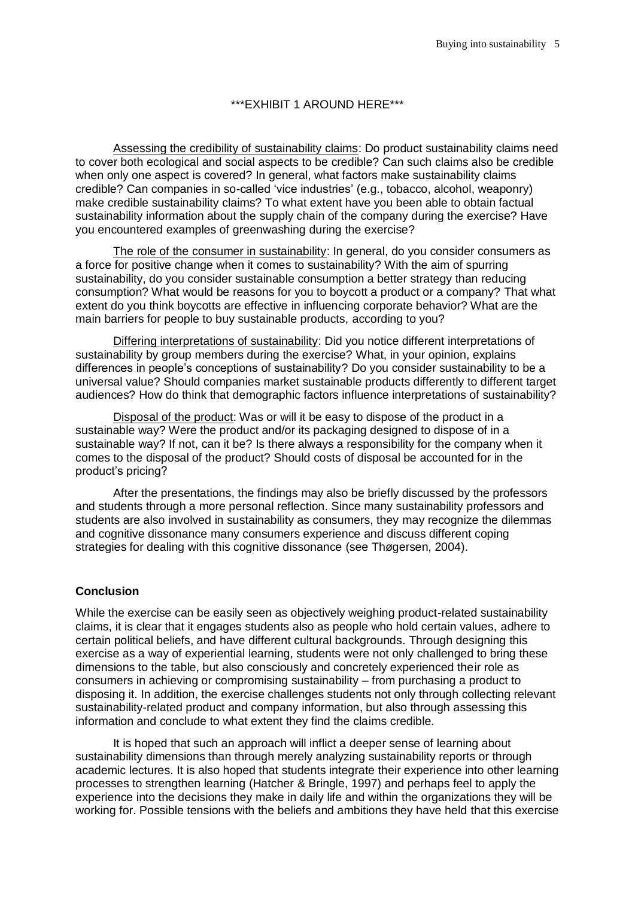#### \*\*\*EXHIBIT 1 AROUND HERE\*\*\*

Assessing the credibility of sustainability claims: Do product sustainability claims need to cover both ecological and social aspects to be credible? Can such claims also be credible when only one aspect is covered? In general, what factors make sustainability claims credible? Can companies in so-called 'vice industries' (e.g., tobacco, alcohol, weaponry) make credible sustainability claims? To what extent have you been able to obtain factual sustainability information about the supply chain of the company during the exercise? Have you encountered examples of greenwashing during the exercise?

The role of the consumer in sustainability: In general, do you consider consumers as a force for positive change when it comes to sustainability? With the aim of spurring sustainability, do you consider sustainable consumption a better strategy than reducing consumption? What would be reasons for you to boycott a product or a company? That what extent do you think boycotts are effective in influencing corporate behavior? What are the main barriers for people to buy sustainable products, according to you?

Differing interpretations of sustainability: Did you notice different interpretations of sustainability by group members during the exercise? What, in your opinion, explains differences in people's conceptions of sustainability? Do you consider sustainability to be a universal value? Should companies market sustainable products differently to different target audiences? How do think that demographic factors influence interpretations of sustainability?

Disposal of the product: Was or will it be easy to dispose of the product in a sustainable way? Were the product and/or its packaging designed to dispose of in a sustainable way? If not, can it be? Is there always a responsibility for the company when it comes to the disposal of the product? Should costs of disposal be accounted for in the product's pricing?

After the presentations, the findings may also be briefly discussed by the professors and students through a more personal reflection. Since many sustainability professors and students are also involved in sustainability as consumers, they may recognize the dilemmas and cognitive dissonance many consumers experience and discuss different coping strategies for dealing with this cognitive dissonance (see Thøgersen, 2004).

### **Conclusion**

While the exercise can be easily seen as objectively weighing product-related sustainability claims, it is clear that it engages students also as people who hold certain values, adhere to certain political beliefs, and have different cultural backgrounds. Through designing this exercise as a way of experiential learning, students were not only challenged to bring these dimensions to the table, but also consciously and concretely experienced their role as consumers in achieving or compromising sustainability – from purchasing a product to disposing it. In addition, the exercise challenges students not only through collecting relevant sustainability-related product and company information, but also through assessing this information and conclude to what extent they find the claims credible.

It is hoped that such an approach will inflict a deeper sense of learning about sustainability dimensions than through merely analyzing sustainability reports or through academic lectures. It is also hoped that students integrate their experience into other learning processes to strengthen learning (Hatcher & Bringle, 1997) and perhaps feel to apply the experience into the decisions they make in daily life and within the organizations they will be working for. Possible tensions with the beliefs and ambitions they have held that this exercise